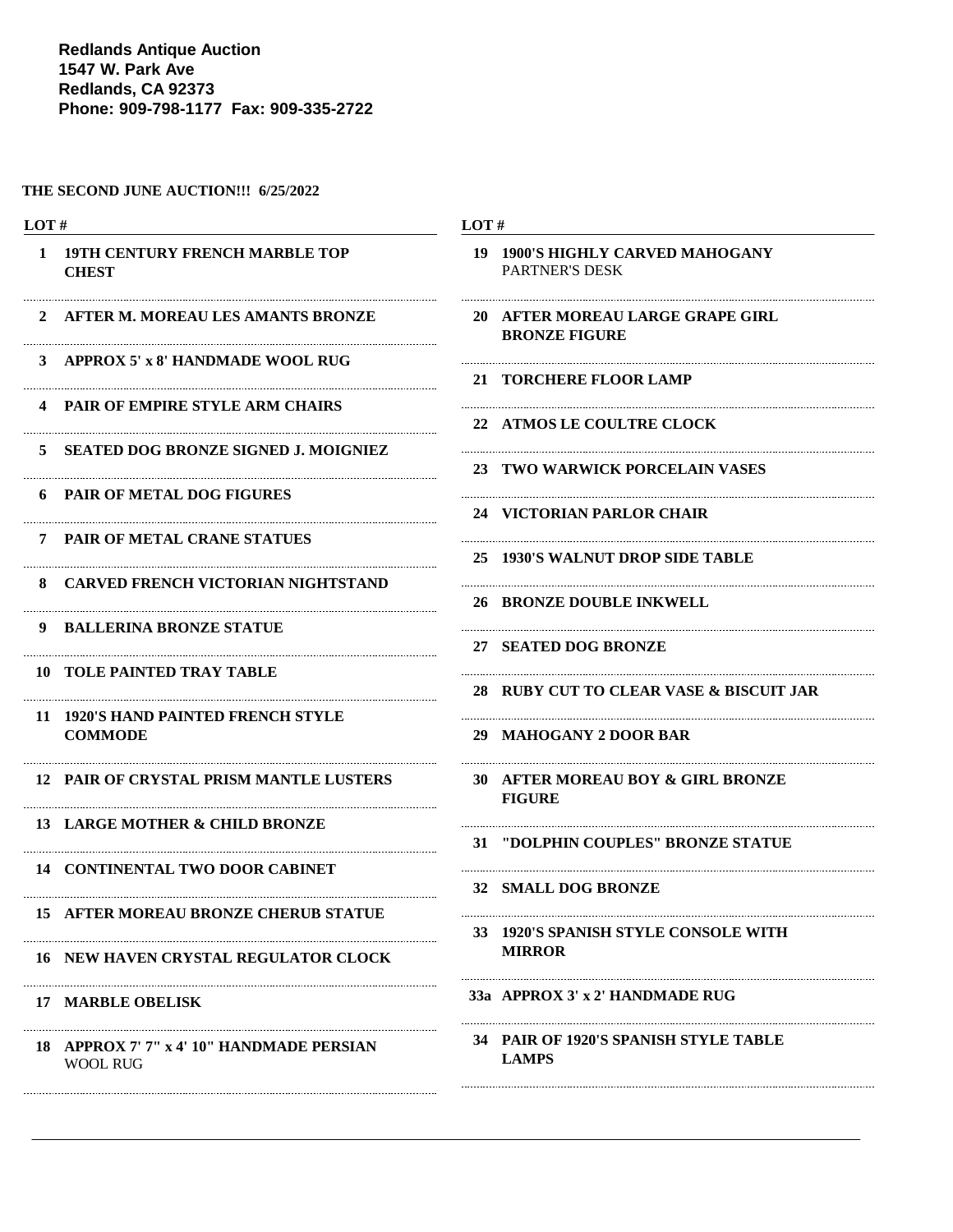**Redlands Antique Auction 1547 W. Park Ave Redlands, CA 92373 Phone: 909-798-1177 Fax: 909-335-2722**

#### **THE SECOND JUNE AUCTION!!! 6/25/2022**

| LOT#         |                                                              | LOT#                                                      |  |
|--------------|--------------------------------------------------------------|-----------------------------------------------------------|--|
| $\mathbf{1}$ | <b>19TH CENTURY FRENCH MARBLE TOP</b><br><b>CHEST</b>        | 19 1900'S HIGHLY CARVED MAHOGANY<br><b>PARTNER'S DESK</b> |  |
|              | 2 AFTER M. MOREAU LES AMANTS BRONZE                          | 20 AFTER MOREAU LARGE GRAPE GIRL<br><b>BRONZE FIGURE</b>  |  |
| 3            | APPROX 5' x 8' HANDMADE WOOL RUG                             | 21 TORCHERE FLOOR LAMP                                    |  |
|              | <b>4 PAIR OF EMPIRE STYLE ARM CHAIRS</b>                     | 22 ATMOS LE COULTRE CLOCK                                 |  |
| 5.           | <b>SEATED DOG BRONZE SIGNED J. MOIGNIEZ</b>                  | 23 TWO WARWICK PORCELAIN VASES                            |  |
|              | <b>6 PAIR OF METAL DOG FIGURES</b>                           | 24 VICTORIAN PARLOR CHAIR                                 |  |
|              | 7 PAIR OF METAL CRANE STATUES                                | 25 1930'S WALNUT DROP SIDE TABLE                          |  |
| 8.           | <b>CARVED FRENCH VICTORIAN NIGHTSTAND</b>                    | 26 BRONZE DOUBLE INKWELL                                  |  |
|              | 9 BALLERINA BRONZE STATUE                                    | 27 SEATED DOG BRONZE                                      |  |
|              | <b>10 TOLE PAINTED TRAY TABLE</b>                            | 28 RUBY CUT TO CLEAR VASE & BISCUIT JAR                   |  |
|              | 11 1920'S HAND PAINTED FRENCH STYLE<br><b>COMMODE</b>        | 29 MAHOGANY 2 DOOR BAR                                    |  |
|              | 12 PAIR OF CRYSTAL PRISM MANTLE LUSTERS                      | 30 AFTER MOREAU BOY & GIRL BRONZE<br><b>FIGURE</b>        |  |
|              | 13 LARGE MOTHER & CHILD BRONZE                               | 31 "DOLPHIN COUPLES" BRONZE STATUE                        |  |
|              | <b>14 CONTINENTAL TWO DOOR CABINET</b>                       | 32 SMALL DOG BRONZE                                       |  |
|              | <b>15 AFTER MOREAU BRONZE CHERUB STATUE</b>                  | 33 1920'S SPANISH STYLE CONSOLE WITH                      |  |
|              | <b>16 NEW HAVEN CRYSTAL REGULATOR CLOCK</b>                  | <b>MIRROR</b>                                             |  |
|              | <b>17 MARBLE OBELISK</b>                                     | 33a APPROX 3' x 2' HANDMADE RUG                           |  |
|              | 18 APPROX 7' 7" x 4' 10" HANDMADE PERSIAN<br><b>WOOL RUG</b> | 34 PAIR OF 1920'S SPANISH STYLE TABLE<br><b>LAMPS</b>     |  |
|              |                                                              |                                                           |  |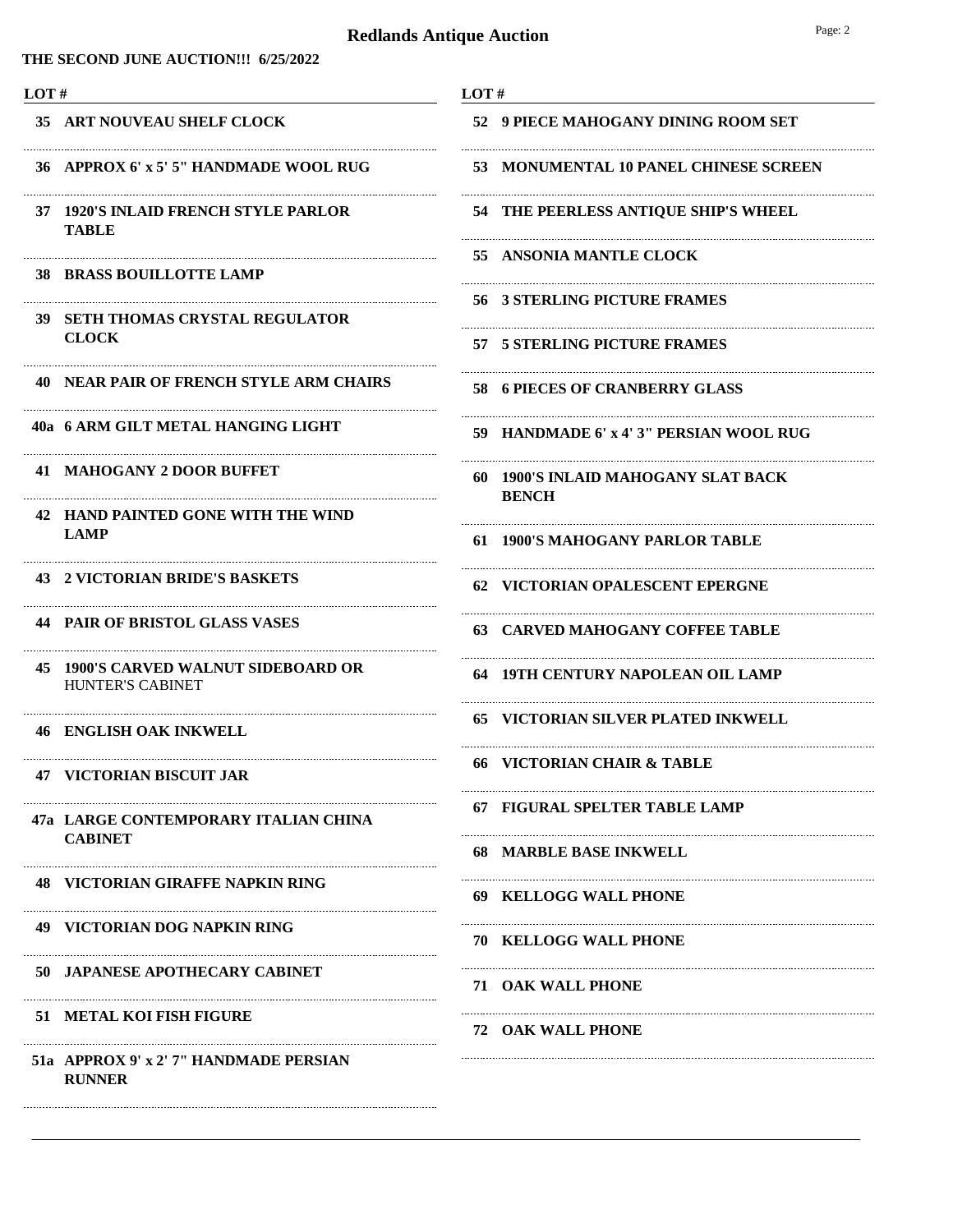**THE SECOND JUNE AUCTION!!! 6/25/2022**

| LOT#                       |                                                                 | LOT#                                                |  |
|----------------------------|-----------------------------------------------------------------|-----------------------------------------------------|--|
| 35 ART NOUVEAU SHELF CLOCK |                                                                 | 52 9 PIECE MAHOGANY DINING ROOM SET                 |  |
|                            | 36 APPROX 6' x 5' 5" HANDMADE WOOL RUG                          | 53 MONUMENTAL 10 PANEL CHINESE SCREEN               |  |
|                            | 37 1920'S INLAID FRENCH STYLE PARLOR<br><b>TABLE</b>            | 54 THE PEERLESS ANTIQUE SHIP'S WHEEL                |  |
|                            | <b>38 BRASS BOUILLOTTE LAMP</b>                                 | 55 ANSONIA MANTLE CLOCK                             |  |
|                            | 39 SETH THOMAS CRYSTAL REGULATOR                                | 56 3 STERLING PICTURE FRAMES                        |  |
|                            | <b>CLOCK</b>                                                    | 57 5 STERLING PICTURE FRAMES                        |  |
|                            | <b>40 NEAR PAIR OF FRENCH STYLE ARM CHAIRS</b>                  | 58 6 PIECES OF CRANBERRY GLASS                      |  |
|                            | 40a 6 ARM GILT METAL HANGING LIGHT                              | 59 HANDMADE 6' x 4' 3" PERSIAN WOOL RUG             |  |
|                            | 41 MAHOGANY 2 DOOR BUFFET                                       | 60 1900'S INLAID MAHOGANY SLAT BACK<br><b>BENCH</b> |  |
|                            | 42 HAND PAINTED GONE WITH THE WIND<br><b>LAMP</b>               | 61 1900'S MAHOGANY PARLOR TABLE                     |  |
|                            | 43 2 VICTORIAN BRIDE'S BASKETS                                  | 62 VICTORIAN OPALESCENT EPERGNE                     |  |
|                            | <b>44 PAIR OF BRISTOL GLASS VASES</b>                           | <b>63 CARVED MAHOGANY COFFEE TABLE</b>              |  |
|                            | 45 1900'S CARVED WALNUT SIDEBOARD OR<br><b>HUNTER'S CABINET</b> | 64 19TH CENTURY NAPOLEAN OIL LAMP                   |  |
|                            | 46 ENGLISH OAK INKWELL                                          | 65 VICTORIAN SILVER PLATED INKWELL                  |  |
|                            | <b>47 VICTORIAN BISCUIT JAR</b>                                 | <b>66 VICTORIAN CHAIR &amp; TABLE</b>               |  |
|                            | 47a LARGE CONTEMPORARY ITALIAN CHINA                            | 67 FIGURAL SPELTER TABLE LAMP                       |  |
|                            | <b>CABINET</b>                                                  | 68 MARBLE BASE INKWELL                              |  |
|                            | <b>48 VICTORIAN GIRAFFE NAPKIN RING</b>                         | 69 KELLOGG WALL PHONE                               |  |
|                            | <b>49 VICTORIAN DOG NAPKIN RING</b>                             | <b>70 KELLOGG WALL PHONE</b>                        |  |
|                            | <b>50 JAPANESE APOTHECARY CABINET</b>                           | <b>71 OAK WALL PHONE</b>                            |  |
|                            | 51 METAL KOI FISH FIGURE                                        | <b>72 OAK WALL PHONE</b>                            |  |
|                            | 51a APPROX 9' x 2' 7'' HANDMADE PERSIAN<br><b>RUNNER</b>        |                                                     |  |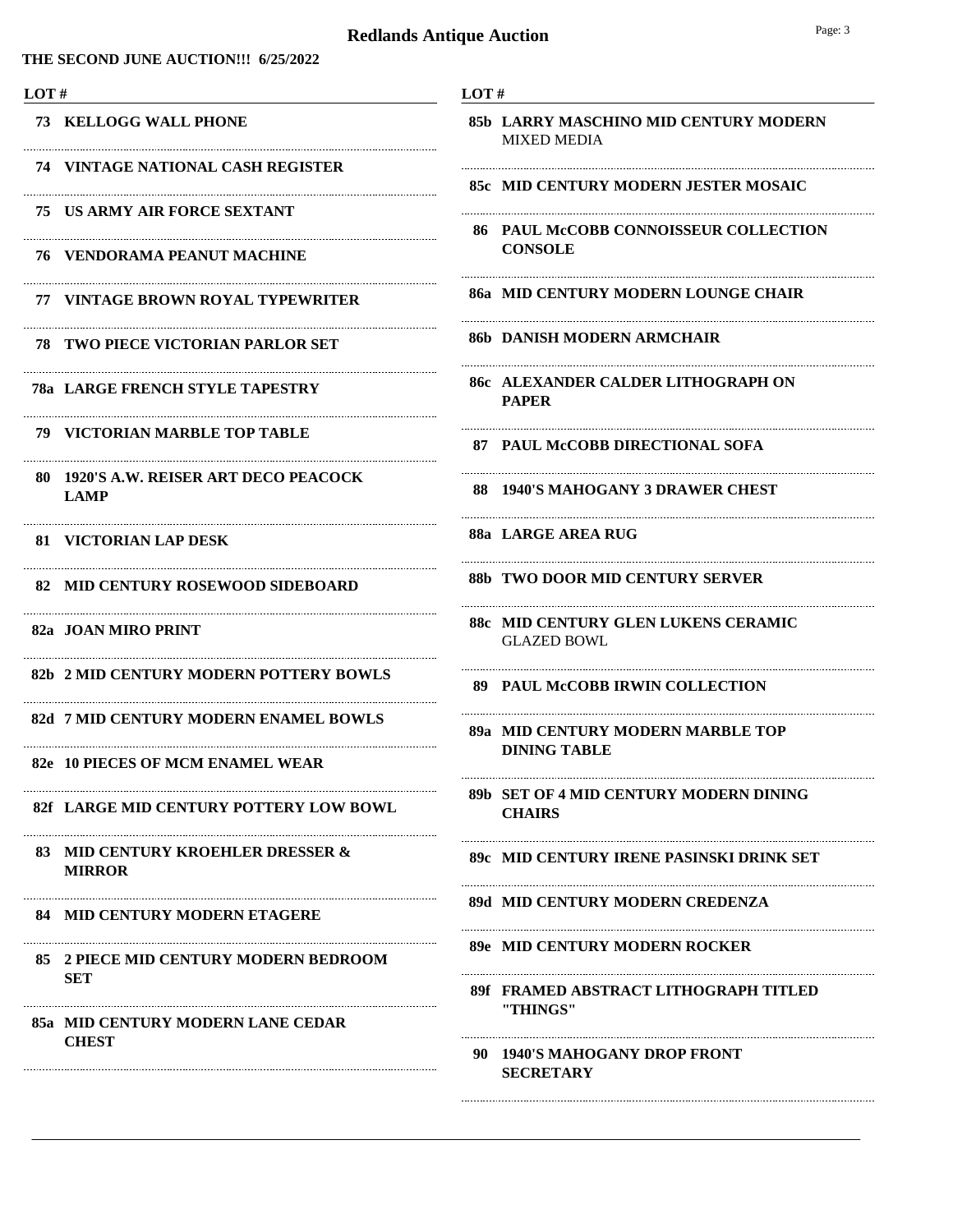**THE SECOND JUNE AUCTION!!! 6/25/2022**

| LOT#                                                  | LOT $#$                                                     |
|-------------------------------------------------------|-------------------------------------------------------------|
| <b>73 KELLOGG WALL PHONE</b>                          | 85b LARRY MASCHINO MID CENTURY MODERN<br><b>MIXED MEDIA</b> |
| <b>74 VINTAGE NATIONAL CASH REGISTER</b>              | 85c MID CENTURY MODERN JESTER MOSAIC                        |
| 75 US ARMY AIR FORCE SEXTANT                          | <b>86 PAUL McCOBB CONNOISSEUR COLLECTION</b>                |
| 76    VENDORAMA PEANUT MACHINE                        | <b>CONSOLE</b>                                              |
| 77 VINTAGE BROWN ROYAL TYPEWRITER                     | 86a MID CENTURY MODERN LOUNGE CHAIR                         |
| <b>78 TWO PIECE VICTORIAN PARLOR SET</b>              | 86b   DANISH MODERN ARMCHAIR                                |
| <b>78a LARGE FRENCH STYLE TAPESTRY</b>                | <b>86c ALEXANDER CALDER LITHOGRAPH ON</b><br><b>PAPER</b>   |
| <b>79 VICTORIAN MARBLE TOP TABLE</b>                  | 87 PAUL McCOBB DIRECTIONAL SOFA                             |
| 80 1920'S A.W. REISER ART DECO PEACOCK<br><b>LAMP</b> | 88 1940'S MAHOGANY 3 DRAWER CHEST                           |
| 81 VICTORIAN LAP DESK                                 | 88a LARGE AREA RUG                                          |
| 82 MID CENTURY ROSEWOOD SIDEBOARD                     | 88b TWO DOOR MID CENTURY SERVER                             |
| 82a JOAN MIRO PRINT                                   | 88c MID CENTURY GLEN LUKENS CERAMIC<br><b>GLAZED BOWL</b>   |
| 82b 2 MID CENTURY MODERN POTTERY BOWLS                | 89 PAUL McCOBB IRWIN COLLECTION                             |
| 82d 7 MID CENTURY MODERN ENAMEL BOWLS                 | 89a MID CENTURY MODERN MARBLE TOP                           |
| 82e 10 PIECES OF MCM ENAMEL WEAR                      | <b>DINING TABLE</b>                                         |
| 82f LARGE MID CENTURY POTTERY LOW BOWL                | 89b SET OF 4 MID CENTURY MODERN DINING<br><b>CHAIRS</b>     |
| 83 MID CENTURY KROEHLER DRESSER &<br><b>MIRROR</b>    | 89c – MID CENTURY IRENE PASINSKI DRINK SET                  |
| <b>84 MID CENTURY MODERN ETAGERE</b>                  | 89d MID CENTURY MODERN CREDENZA                             |
| 85 2 PIECE MID CENTURY MODERN BEDROOM                 | 89e MID CENTURY MODERN ROCKER                               |
| <b>SET</b><br>85a MID CENTURY MODERN LANE CEDAR       | 89f FRAMED ABSTRACT LITHOGRAPH TITLED<br>"THINGS"           |
| <b>CHEST</b>                                          | 90 1940'S MAHOGANY DROP FRONT<br><b>SECRETARY</b>           |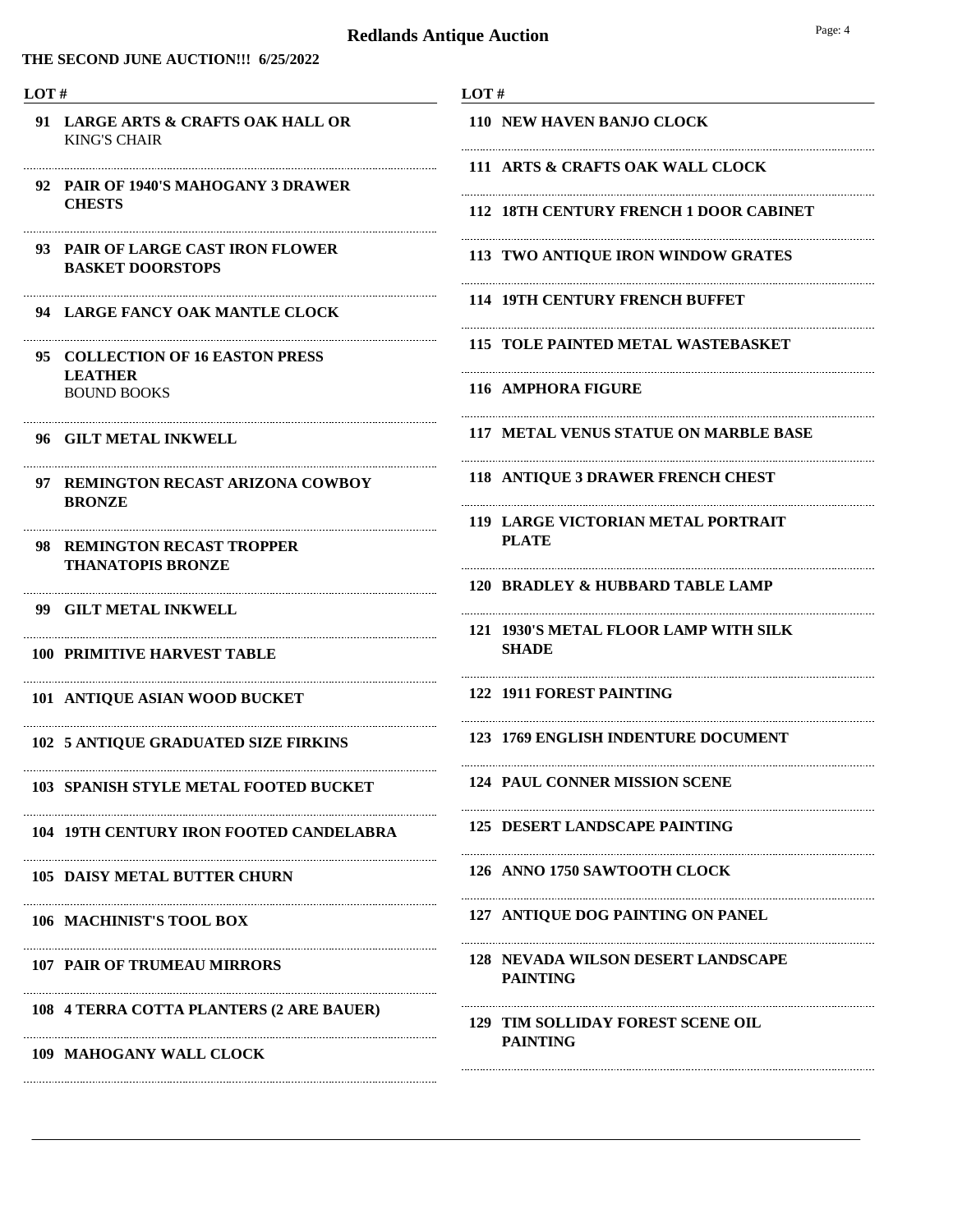#### **THE SECOND JUNE AUCTION!!! 6/25/2022**

#### **LOT #**

- KING'S CHAIR **91 LARGE ARTS & CRAFTS OAK HALL OR**
- **PAIR OF 1940'S MAHOGANY 3 DRAWER 92 CHESTS**
- **PAIR OF LARGE CAST IRON FLOWER 93 BASKET DOORSTOPS**
- **94 LARGE FANCY OAK MANTLE CLOCK**

Ne

Ne

Ne

Ne

Ne

Ne

Ne

Ne

Ne

Ne

Ne

Ne

- BOUND BOOKS **COLLECTION OF 16 EASTON PRESS 95 LEATHER**
- **96 GILT METAL INKWELL**
- **REMINGTON RECAST ARIZONA COWBOY 97 BRONZE**
- **REMINGTON RECAST TROPPER 98 THANATOPIS BRONZE**
- **99 GILT METAL INKWELL**
- **100 PRIMITIVE HARVEST TABLE**
- **101 ANTIQUE ASIAN WOOD BUCKET**
- **102 5 ANTIQUE GRADUATED SIZE FIRKINS**
- **103 SPANISH STYLE METAL FOOTED BUCKET**
- **104 19TH CENTURY IRON FOOTED CANDELABRA**
- **105 DAISY METAL BUTTER CHURN**
- **106 MACHINIST'S TOOL BOX**
- **107 PAIR OF TRUMEAU MIRRORS**
- **108 4 TERRA COTTA PLANTERS (2 ARE BAUER)**
- **109 MAHOGANY WALL CLOCK**
- **LOT #**
- **110 NEW HAVEN BANJO CLOCK**
- **111 ARTS & CRAFTS OAK WALL CLOCK**
- **112 18TH CENTURY FRENCH 1 DOOR CABINET**

Ne

Ne

Ne

Ne

Ne

Ne

Ne

- **113 TWO ANTIQUE IRON WINDOW GRATES**
- **114 19TH CENTURY FRENCH BUFFET**
- **115 TOLE PAINTED METAL WASTEBASKET**
- **116 AMPHORA FIGURE**
- **117 METAL VENUS STATUE ON MARBLE BASE**
- **118 ANTIQUE 3 DRAWER FRENCH CHEST**
- **LARGE VICTORIAN METAL PORTRAIT 119 PLATE**
- **120 BRADLEY & HUBBARD TABLE LAMP**
- **1930'S METAL FLOOR LAMP WITH SILK 121 SHADE**

Ne

Ne

Ne

Ne

Ne

Ne

- **122 1911 FOREST PAINTING**
- **123 1769 ENGLISH INDENTURE DOCUMENT**
- **124 PAUL CONNER MISSION SCENE**
- **125 DESERT LANDSCAPE PAINTING**
- **126 ANNO 1750 SAWTOOTH CLOCK**
- **127 ANTIQUE DOG PAINTING ON PANEL**
- **NEVADA WILSON DESERT LANDSCAPE 128 PAINTING**
- **TIM SOLLIDAY FOREST SCENE OIL 129 PAINTING**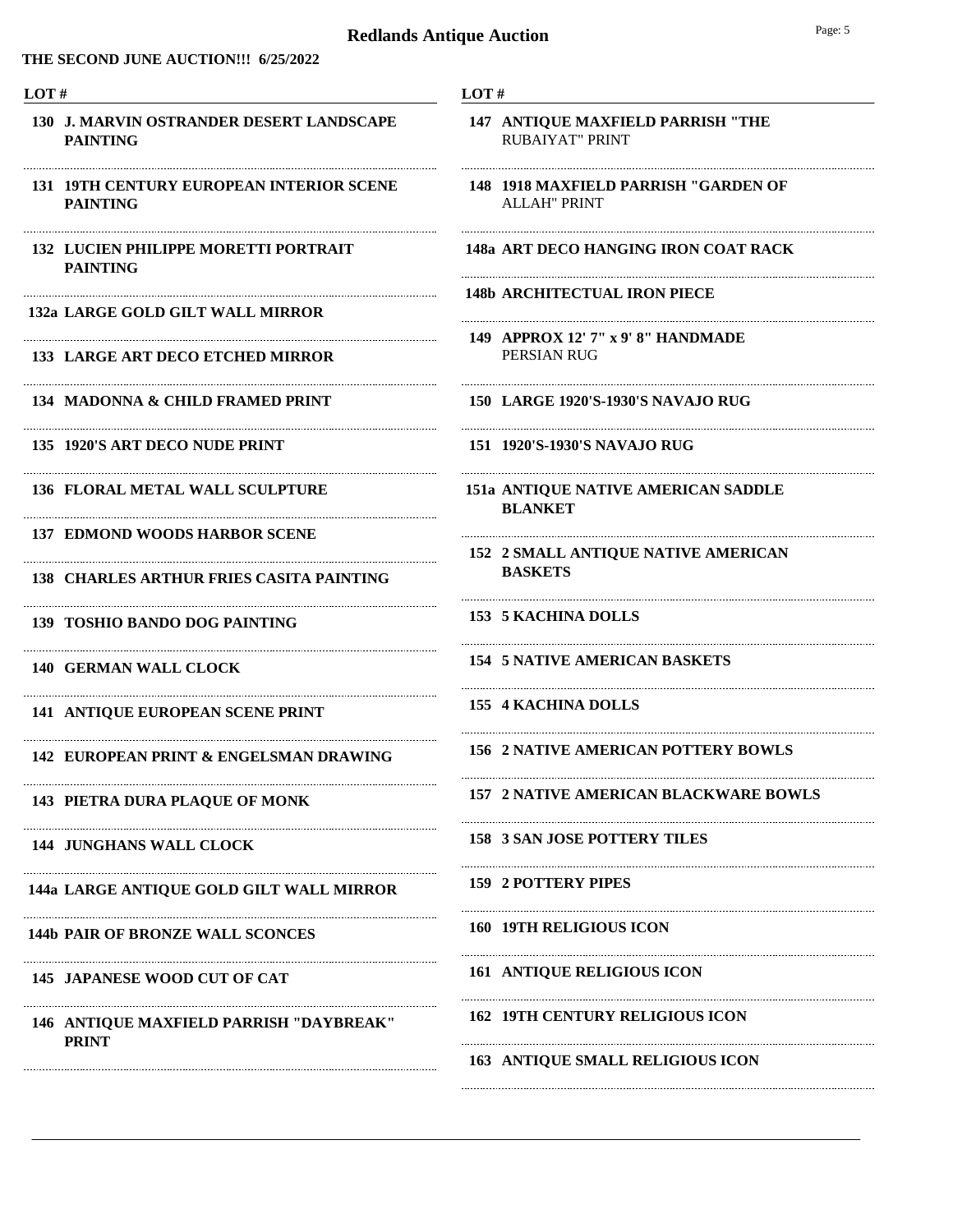#### **THE SECOND JUNE AUCTION!!! 6/25/2022**

#### **LOT #**

- **J. MARVIN OSTRANDER DESERT LANDSCAPE 130 PAINTING**
- **19TH CENTURY EUROPEAN INTERIOR SCENE 131 PAINTING**

Ne

Ne

Ne

Ne

Ne

Ne

Ne

Ne

Ne

Ne

Ne

- **LUCIEN PHILIPPE MORETTI PORTRAIT 132 PAINTING**
- **132a LARGE GOLD GILT WALL MIRROR**
- **133 LARGE ART DECO ETCHED MIRROR**
- **134 MADONNA & CHILD FRAMED PRINT**
- **135 1920'S ART DECO NUDE PRINT**
- **136 FLORAL METAL WALL SCULPTURE**
- **137 EDMOND WOODS HARBOR SCENE**
- **138 CHARLES ARTHUR FRIES CASITA PAINTING**
- **139 TOSHIO BANDO DOG PAINTING**
- **140 GERMAN WALL CLOCK**
- **141 ANTIQUE EUROPEAN SCENE PRINT**
- **142 EUROPEAN PRINT & ENGELSMAN DRAWING**
- **143 PIETRA DURA PLAQUE OF MONK**
- **144 JUNGHANS WALL CLOCK**
- **144a LARGE ANTIQUE GOLD GILT WALL MIRROR**

Ne

Ne

- **144b PAIR OF BRONZE WALL SCONCES**
- **145 JAPANESE WOOD CUT OF CAT**
- **ANTIQUE MAXFIELD PARRISH "DAYBREAK" 146 PRINT**

- **LOT #**
- RUBAIYAT" PRINT **147 ANTIQUE MAXFIELD PARRISH "THE**
- ALLAH" PRINT **148 1918 MAXFIELD PARRISH "GARDEN OF**
- **148a ART DECO HANGING IRON COAT RACK**

Ne

Ne

- **148b ARCHITECTUAL IRON PIECE**
- PERSIAN RUG **149 APPROX 12' 7" x 9' 8" HANDMADE**
- **150 LARGE 1920'S-1930'S NAVAJO RUG**
- **151 1920'S-1930'S NAVAJO RUG**
- **ANTIQUE NATIVE AMERICAN SADDLE 151a BLANKET**

Ne

**2 SMALL ANTIQUE NATIVE AMERICAN 152 BASKETS**

Ne

Ne

Ne

- **153 5 KACHINA DOLLS**
- **154 5 NATIVE AMERICAN BASKETS**
- **155 4 KACHINA DOLLS**
- **156 2 NATIVE AMERICAN POTTERY BOWLS**
- **157 2 NATIVE AMERICAN BLACKWARE BOWLS**

Ne

Ne

Ne

Ne

Ne

- **158 3 SAN JOSE POTTERY TILES**
- **159 2 POTTERY PIPES**
- **160 19TH RELIGIOUS ICON**
- **161 ANTIQUE RELIGIOUS ICON**
- **162 19TH CENTURY RELIGIOUS ICON**
- **163 ANTIQUE SMALL RELIGIOUS ICON**

Ne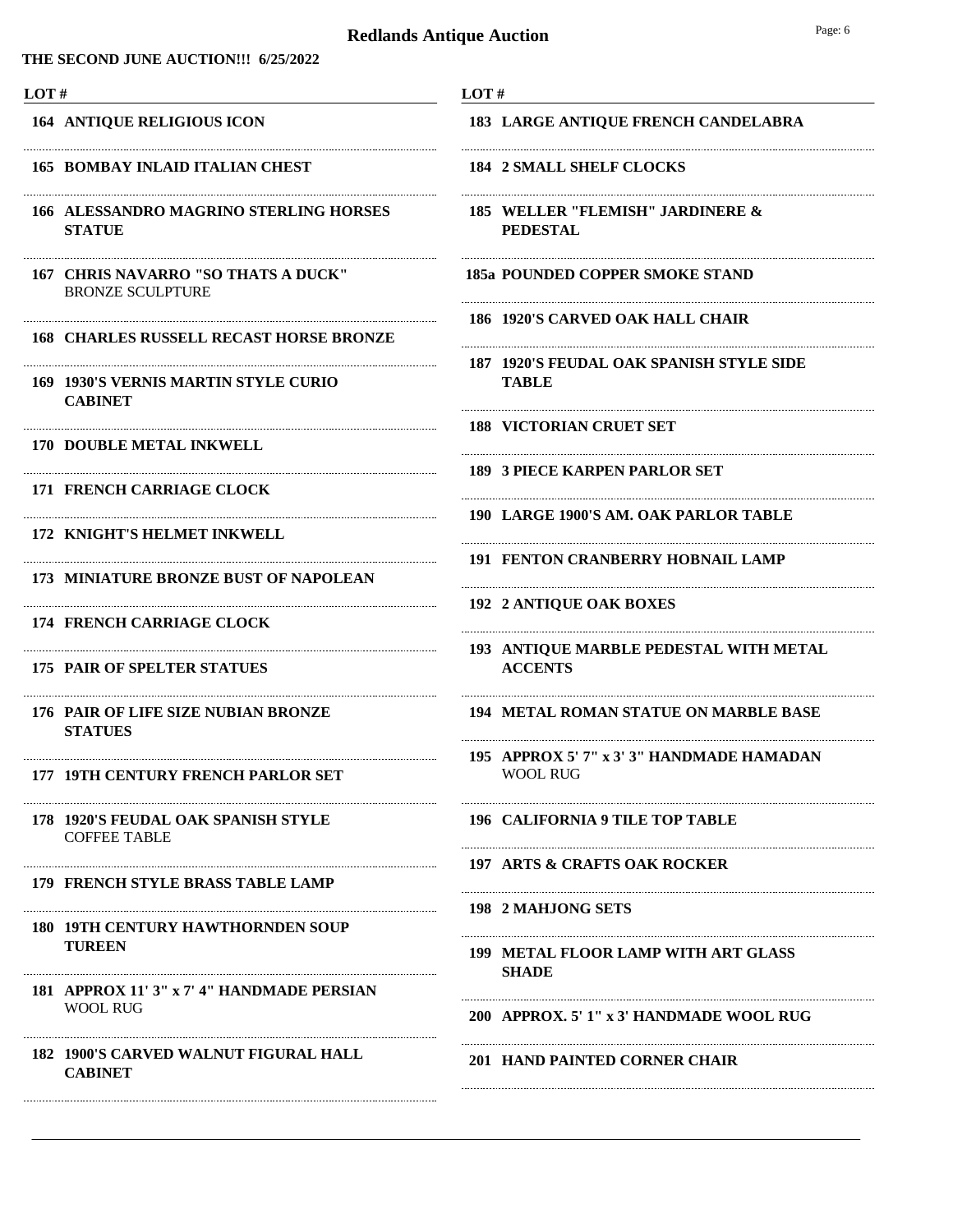#### **THE SECOND JUNE AUCTION!!! 6/25/2022**

| ۰. |  |
|----|--|
|    |  |

**164 ANTIQUE RELIGIOUS ICON**

#### **165 BOMBAY INLAID ITALIAN CHEST**

**ALESSANDRO MAGRINO STERLING HORSES 166 STATUE**

Ne

- BRONZE SCULPTURE **167 CHRIS NAVARRO "SO THATS A DUCK"**
- **168 CHARLES RUSSELL RECAST HORSE BRONZE**

Ne

Ne

Ne

Ne

Ne

Ne

Ne

Ne

- **1930'S VERNIS MARTIN STYLE CURIO 169 CABINET**
- **170 DOUBLE METAL INKWELL**
- **171 FRENCH CARRIAGE CLOCK**
- **172 KNIGHT'S HELMET INKWELL**
- **173 MINIATURE BRONZE BUST OF NAPOLEAN**
- **174 FRENCH CARRIAGE CLOCK**
- **175 PAIR OF SPELTER STATUES**
- **PAIR OF LIFE SIZE NUBIAN BRONZE 176 STATUES**
- **177 19TH CENTURY FRENCH PARLOR SET**
- COFFEE TABLE **178 1920'S FEUDAL OAK SPANISH STYLE**
- **179 FRENCH STYLE BRASS TABLE LAMP**
- **19TH CENTURY HAWTHORNDEN SOUP 180 TUREEN**
- WOOL RUG **181 APPROX 11' 3" x 7' 4" HANDMADE PERSIAN**
- **1900'S CARVED WALNUT FIGURAL HALL 182 CABINET**
- **LOT # 183 LARGE ANTIQUE FRENCH CANDELABRA**
- **184 2 SMALL SHELF CLOCKS**
- **WELLER "FLEMISH" JARDINERE & 185 PEDESTAL**

Ne

Ne

Ne

Ne

Ne

Ne

Ne

Ne

Ne

Ne

Ne

- **185a POUNDED COPPER SMOKE STAND**
- **186 1920'S CARVED OAK HALL CHAIR**
- **1920'S FEUDAL OAK SPANISH STYLE SIDE 187 TABLE**

- **188 VICTORIAN CRUET SET**
- **189 3 PIECE KARPEN PARLOR SET**
- **190 LARGE 1900'S AM. OAK PARLOR TABLE**
- **191 FENTON CRANBERRY HOBNAIL LAMP**
- **192 2 ANTIQUE OAK BOXES**
- **ANTIQUE MARBLE PEDESTAL WITH METAL 193 ACCENTS**
- **194 METAL ROMAN STATUE ON MARBLE BASE**
- WOOL RUG **195 APPROX 5' 7" x 3' 3" HANDMADE HAMADAN**

**196 CALIFORNIA 9 TILE TOP TABLE**

- **197 ARTS & CRAFTS OAK ROCKER**
- **198 2 MAHJONG SETS**
- **METAL FLOOR LAMP WITH ART GLASS 199 SHADE**
- **200 APPROX. 5' 1" x 3' HANDMADE WOOL RUG**

**201 HAND PAINTED CORNER CHAIR**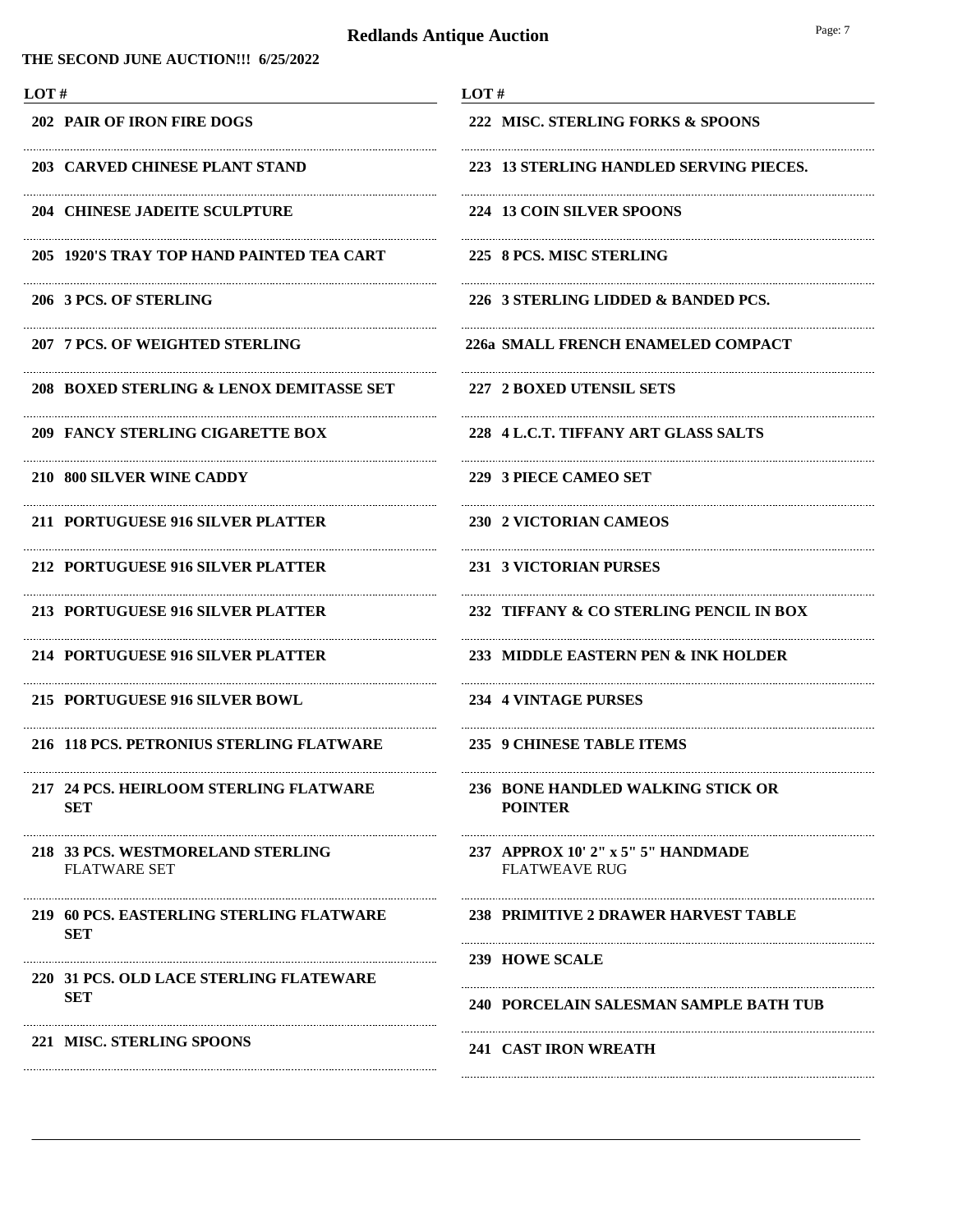|--|

| LOT#                                                     | LOT#                                                       |
|----------------------------------------------------------|------------------------------------------------------------|
| <b>202 PAIR OF IRON FIRE DOGS</b>                        | 222 MISC. STERLING FORKS & SPOONS                          |
| 203 CARVED CHINESE PLANT STAND                           | 223 13 STERLING HANDLED SERVING PIECES.                    |
| <b>204 CHINESE JADEITE SCULPTURE</b>                     | 224 13 COIN SILVER SPOONS                                  |
| 205 1920'S TRAY TOP HAND PAINTED TEA CART                | 225 8 PCS. MISC STERLING                                   |
| 206 3 PCS. OF STERLING                                   | 226 3 STERLING LIDDED & BANDED PCS.                        |
| 207 7 PCS. OF WEIGHTED STERLING                          | 226a SMALL FRENCH ENAMELED COMPACT                         |
| 208 BOXED STERLING & LENOX DEMITASSE SET                 | 227 2 BOXED UTENSIL SETS                                   |
| <b>209 FANCY STERLING CIGARETTE BOX</b>                  | 228 4 L.C.T. TIFFANY ART GLASS SALTS                       |
| 210 800 SILVER WINE CADDY                                | 229 3 PIECE CAMEO SET                                      |
| 211 PORTUGUESE 916 SILVER PLATTER                        | 230 2 VICTORIAN CAMEOS                                     |
| 212 PORTUGUESE 916 SILVER PLATTER                        | 231 3 VICTORIAN PURSES                                     |
| 213 PORTUGUESE 916 SILVER PLATTER                        | 232 TIFFANY & CO STERLING PENCIL IN BOX                    |
| 214 PORTUGUESE 916 SILVER PLATTER                        | 233 MIDDLE EASTERN PEN & INK HOLDER                        |
| 215 PORTUGUESE 916 SILVER BOWL                           | 234 4 VINTAGE PURSES                                       |
| 216 118 PCS. PETRONIUS STERLING FLATWARE                 | 235 9 CHINESE TABLE ITEMS                                  |
| 217 24 PCS. HEIRLOOM STERLING FLATWARE<br><b>SET</b>     | 236 BONE HANDLED WALKING STICK OR<br><b>POINTER</b>        |
| 218 33 PCS. WESTMORELAND STERLING<br><b>FLATWARE SET</b> | 237 APPROX 10' 2" x 5" 5" HANDMADE<br><b>FLATWEAVE RUG</b> |
| 219 60 PCS. EASTERLING STERLING FLATWARE<br><b>SET</b>   | 238 PRIMITIVE 2 DRAWER HARVEST TABLE                       |
| 220 31 PCS, OLD LACE STERLING FLATEWARE                  | <b>239 HOWE SCALE</b>                                      |
| <b>SET</b>                                               | <b>240 PORCELAIN SALESMAN SAMPLE BATH TUB</b>              |
| 221 MISC. STERLING SPOONS                                | <b>241 CAST IRON WREATH</b>                                |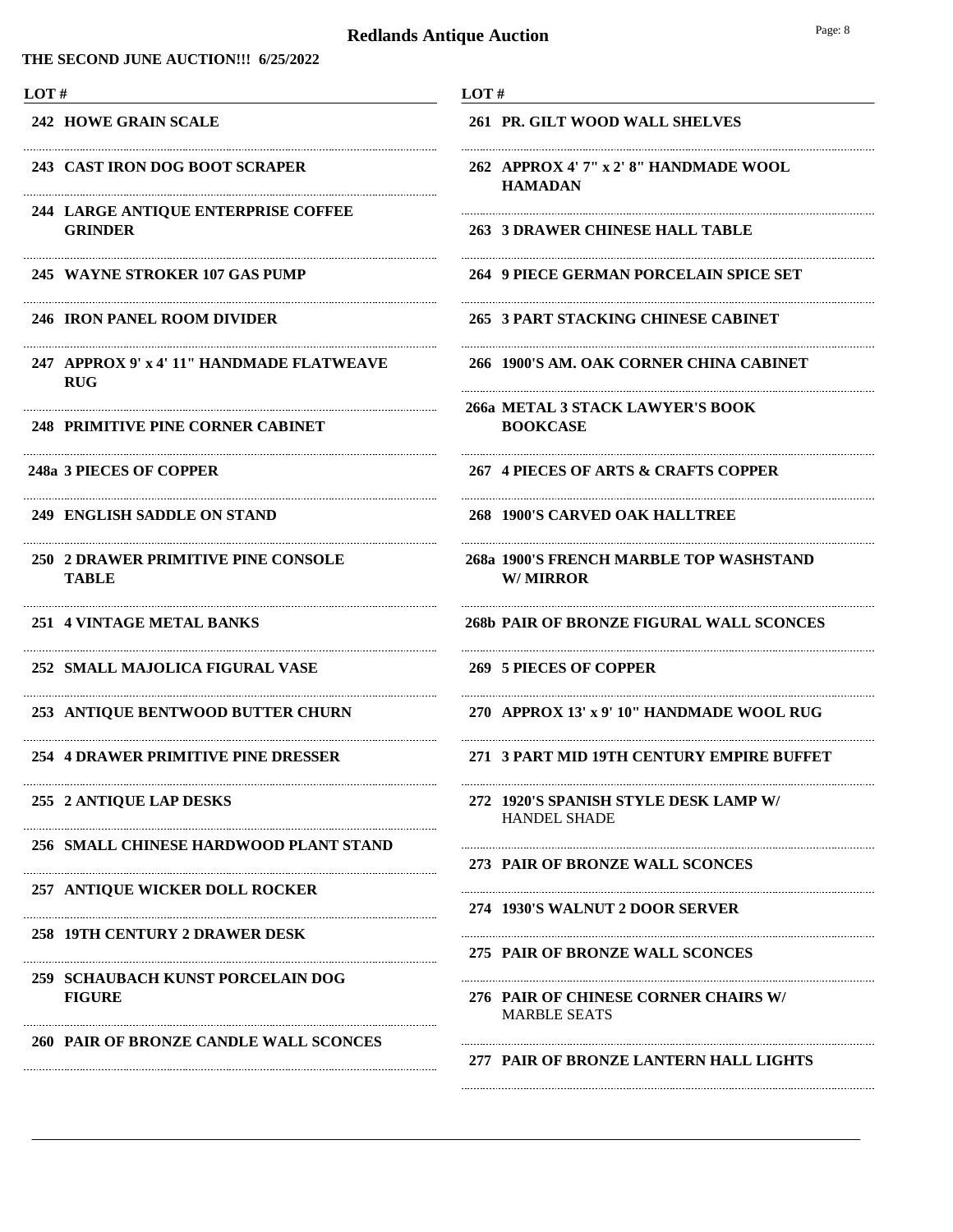| LOT#                                                         | LOT#                                                         |
|--------------------------------------------------------------|--------------------------------------------------------------|
| <b>242 HOWE GRAIN SCALE</b>                                  | 261 PR. GILT WOOD WALL SHELVES                               |
| 243 CAST IRON DOG BOOT SCRAPER                               | 262 APPROX 4' 7" x 2' 8" HANDMADE WOOL<br><b>HAMADAN</b>     |
| <b>244 LARGE ANTIQUE ENTERPRISE COFFEE</b><br><b>GRINDER</b> | 263 3 DRAWER CHINESE HALL TABLE                              |
| 245 WAYNE STROKER 107 GAS PUMP                               | 264 9 PIECE GERMAN PORCELAIN SPICE SET                       |
| 246 IRON PANEL ROOM DIVIDER                                  | 265 3 PART STACKING CHINESE CABINET                          |
| 247 APPROX 9' x 4' 11" HANDMADE FLATWEAVE<br><b>RUG</b>      | 266 1900'S AM. OAK CORNER CHINA CABINET                      |
| <b>248 PRIMITIVE PINE CORNER CABINET</b>                     | 266a METAL 3 STACK LAWYER'S BOOK<br><b>BOOKCASE</b>          |
| 248a 3 PIECES OF COPPER                                      | 267 4 PIECES OF ARTS & CRAFTS COPPER                         |
| 249 ENGLISH SADDLE ON STAND                                  | 268 1900'S CARVED OAK HALLTREE                               |
| 250 2 DRAWER PRIMITIVE PINE CONSOLE<br>TABLE                 | 268a 1900'S FRENCH MARBLE TOP WASHSTAND<br><b>W/MIRROR</b>   |
| 251 4 VINTAGE METAL BANKS                                    | <b>268b PAIR OF BRONZE FIGURAL WALL SCONCES</b>              |
| 252 SMALL MAJOLICA FIGURAL VASE                              | <b>269 5 PIECES OF COPPER</b>                                |
| 253 ANTIQUE BENTWOOD BUTTER CHURN                            | 270 APPROX 13' x 9' 10" HANDMADE WOOL RUG                    |
| <b>254 4 DRAWER PRIMITIVE PINE DRESSER</b>                   | 271 3 PART MID 19TH CENTURY EMPIRE BUFFET                    |
| 255 2 ANTIQUE LAP DESKS                                      | 272 1920'S SPANISH STYLE DESK LAMP W/<br><b>HANDEL SHADE</b> |
| 256 SMALL CHINESE HARDWOOD PLANT STAND                       | 273 PAIR OF BRONZE WALL SCONCES                              |
| 257 ANTIQUE WICKER DOLL ROCKER                               | 274 1930'S WALNUT 2 DOOR SERVER                              |
| 258 19TH CENTURY 2 DRAWER DESK                               | 275 PAIR OF BRONZE WALL SCONCES                              |
| 259 SCHAUBACH KUNST PORCELAIN DOG<br><b>FIGURE</b>           | 276 PAIR OF CHINESE CORNER CHAIRS W/<br><b>MARBLE SEATS</b>  |
| 260 PAIR OF BRONZE CANDLE WALL SCONCES                       | 277 PAIR OF BRONZE LANTERN HALL LIGHTS                       |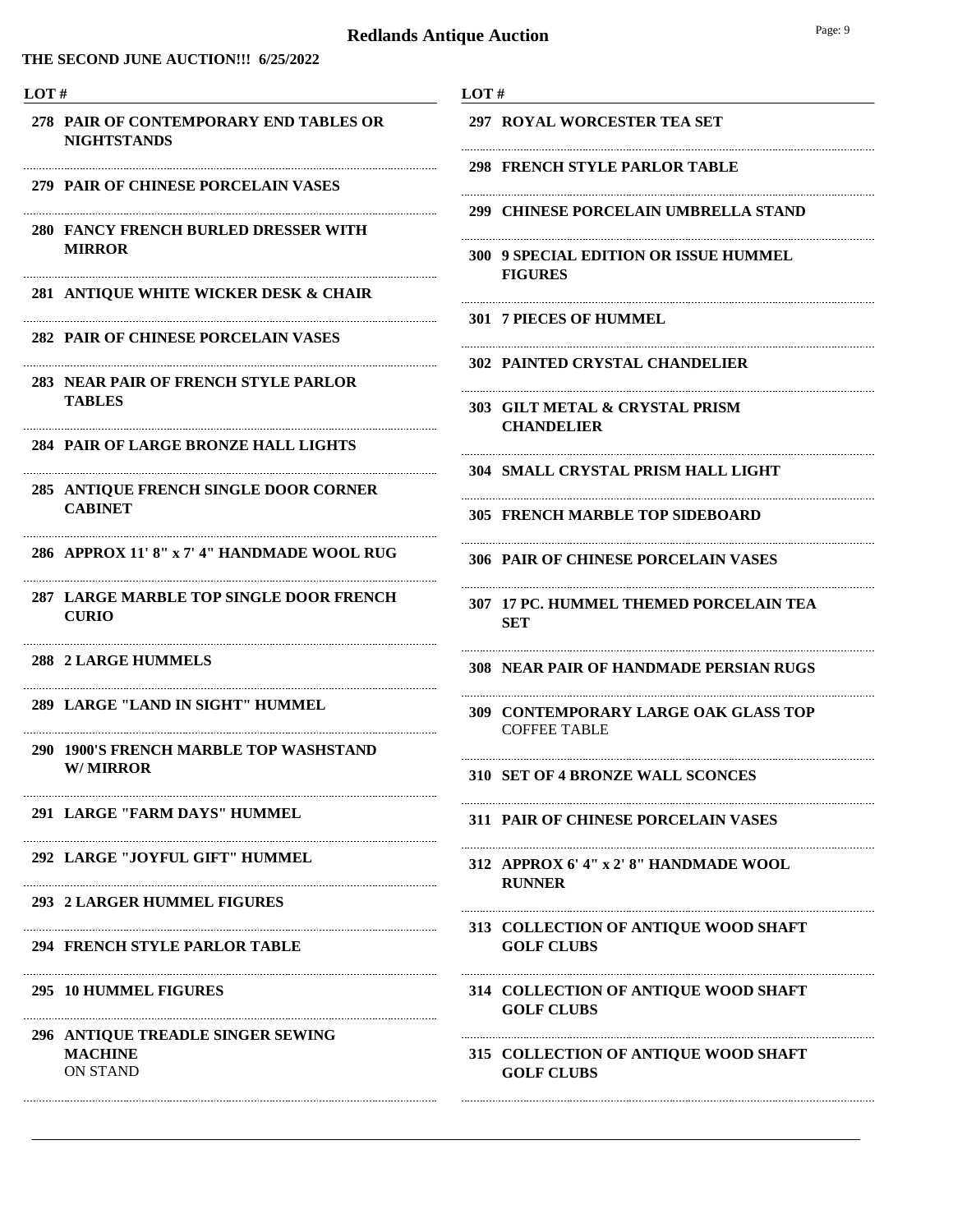#### **THE SECOND JUNE AUCTION!!! 6/25/2022**

#### **LOT #**

- **PAIR OF CONTEMPORARY END TABLES OR 278 NIGHTSTANDS**
- **279 PAIR OF CHINESE PORCELAIN VASES**
- **FANCY FRENCH BURLED DRESSER WITH 280 MIRROR**

Ne

Ne

Ne

Ne

- **281 ANTIQUE WHITE WICKER DESK & CHAIR**
- **282 PAIR OF CHINESE PORCELAIN VASES**
- **NEAR PAIR OF FRENCH STYLE PARLOR 283 TABLES**
- **284 PAIR OF LARGE BRONZE HALL LIGHTS**
- **ANTIQUE FRENCH SINGLE DOOR CORNER 285 CABINET**
- **286 APPROX 11' 8" x 7' 4" HANDMADE WOOL RUG**

Ne

Ne

Ne

Ne

Ne

Ne

Ne

Ne

- **LARGE MARBLE TOP SINGLE DOOR FRENCH 287 CURIO**
- **288 2 LARGE HUMMELS**
- **289 LARGE "LAND IN SIGHT" HUMMEL**
- **1900'S FRENCH MARBLE TOP WASHSTAND 290 W/ MIRROR**
- **291 LARGE "FARM DAYS" HUMMEL**
- **292 LARGE "JOYFUL GIFT" HUMMEL**
- **293 2 LARGER HUMMEL FIGURES**
- **294 FRENCH STYLE PARLOR TABLE**
- **295 10 HUMMEL FIGURES**
- ON STAND **ANTIQUE TREADLE SINGER SEWING 296 MACHINE**
- **LOT #**
	- **297 ROYAL WORCESTER TEA SET**
	- **298 FRENCH STYLE PARLOR TABLE**
- Ne **299 CHINESE PORCELAIN UMBRELLA STAND**

Ne

Ne

Ne

- **9 SPECIAL EDITION OR ISSUE HUMMEL 300 FIGURES**
- **301 7 PIECES OF HUMMEL**
- **302 PAINTED CRYSTAL CHANDELIER**
- **GILT METAL & CRYSTAL PRISM 303 CHANDELIER**
- **304 SMALL CRYSTAL PRISM HALL LIGHT**
- **305 FRENCH MARBLE TOP SIDEBOARD**
- **306 PAIR OF CHINESE PORCELAIN VASES**
- **17 PC. HUMMEL THEMED PORCELAIN TEA 307 SET**

Ne

Ne

Ne

Ne

- **308 NEAR PAIR OF HANDMADE PERSIAN RUGS**
- COFFEE TABLE **309 CONTEMPORARY LARGE OAK GLASS TOP**
- **310 SET OF 4 BRONZE WALL SCONCES**
- **311 PAIR OF CHINESE PORCELAIN VASES**
- **APPROX 6' 4" x 2' 8" HANDMADE WOOL 312 RUNNER**

**COLLECTION OF ANTIQUE WOOD SHAFT 313 GOLF CLUBS**

- **COLLECTION OF ANTIQUE WOOD SHAFT 314 GOLF CLUBS**
- **COLLECTION OF ANTIQUE WOOD SHAFT 315 GOLF CLUBS**